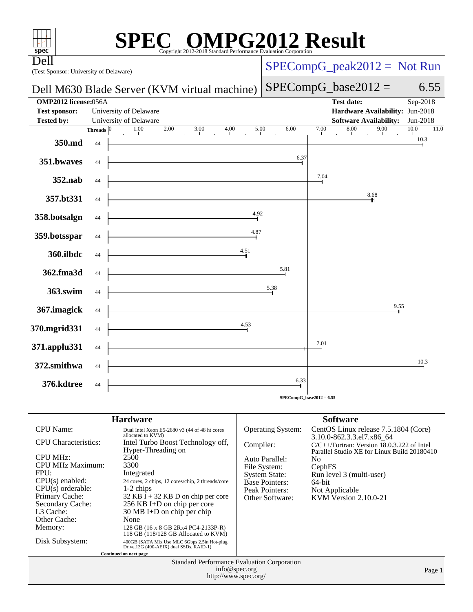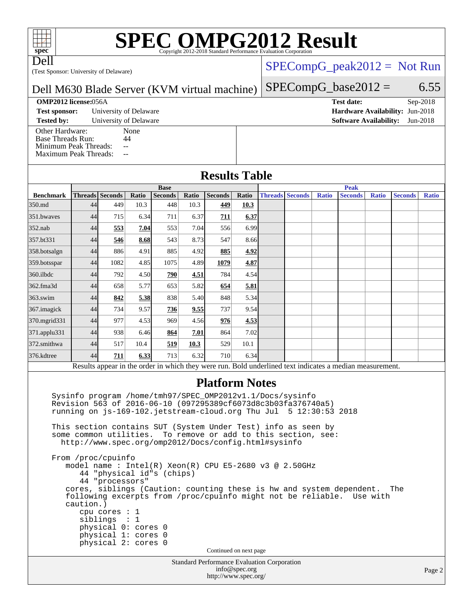# **[SPEC OMPG2012 Result](http://www.spec.org/auto/omp2012/Docs/result-fields.html#SPECOMPG2012Result)**

Dell

(Test Sponsor: University of Delaware)

### [SPECompG\\_peak2012 =](http://www.spec.org/auto/omp2012/Docs/result-fields.html#SPECompGpeak2012) Not Run

 $SPECompG_base2012 = 6.55$  $SPECompG_base2012 = 6.55$ 

#### Dell M630 Blade Server (KVM virtual machine)

#### **[OMP2012 license:](http://www.spec.org/auto/omp2012/Docs/result-fields.html#OMP2012license)**056A **[Test date:](http://www.spec.org/auto/omp2012/Docs/result-fields.html#Testdate)** Sep-2018

**[Test sponsor:](http://www.spec.org/auto/omp2012/Docs/result-fields.html#Testsponsor)** University of Delaware **[Hardware Availability:](http://www.spec.org/auto/omp2012/Docs/result-fields.html#HardwareAvailability)** Jun-2018

**[Tested by:](http://www.spec.org/auto/omp2012/Docs/result-fields.html#Testedby)** University of Delaware **[Software Availability:](http://www.spec.org/auto/omp2012/Docs/result-fields.html#SoftwareAvailability)** Jun-2018

[Other Hardware:](http://www.spec.org/auto/omp2012/Docs/result-fields.html#OtherHardware) None<br>Base Threads Run: 44 [Base Threads Run:](http://www.spec.org/auto/omp2012/Docs/result-fields.html#BaseThreadsRun) [Minimum Peak Threads:](http://www.spec.org/auto/omp2012/Docs/result-fields.html#MinimumPeakThreads) --<br>Maximum Peak Threads: --

[Maximum Peak Threads:](http://www.spec.org/auto/omp2012/Docs/result-fields.html#MaximumPeakThreads)

**[Results Table](http://www.spec.org/auto/omp2012/Docs/result-fields.html#ResultsTable)**

|                                                                                                                                                                                                                                                                                                                                                                                                                                                                                                                                                                                                                                                                                                                                                                                   |    | <b>Base</b>         |       |                |       |                        |       | <b>Peak</b> |                        |              |                |              |                |              |
|-----------------------------------------------------------------------------------------------------------------------------------------------------------------------------------------------------------------------------------------------------------------------------------------------------------------------------------------------------------------------------------------------------------------------------------------------------------------------------------------------------------------------------------------------------------------------------------------------------------------------------------------------------------------------------------------------------------------------------------------------------------------------------------|----|---------------------|-------|----------------|-------|------------------------|-------|-------------|------------------------|--------------|----------------|--------------|----------------|--------------|
| <b>Benchmark</b>                                                                                                                                                                                                                                                                                                                                                                                                                                                                                                                                                                                                                                                                                                                                                                  |    | Threads Seconds     | Ratio | <b>Seconds</b> | Ratio | Seconds                | Ratio |             | <b>Threads Seconds</b> | <b>Ratio</b> | <b>Seconds</b> | <b>Ratio</b> | <b>Seconds</b> | <b>Ratio</b> |
| 350.md                                                                                                                                                                                                                                                                                                                                                                                                                                                                                                                                                                                                                                                                                                                                                                            | 44 | 449                 | 10.3  | 448            | 10.3  | 449                    | 10.3  |             |                        |              |                |              |                |              |
| 351.bwayes                                                                                                                                                                                                                                                                                                                                                                                                                                                                                                                                                                                                                                                                                                                                                                        | 44 | 715                 | 6.34  | 711            | 6.37  | 711                    | 6.37  |             |                        |              |                |              |                |              |
| $352$ .nab                                                                                                                                                                                                                                                                                                                                                                                                                                                                                                                                                                                                                                                                                                                                                                        | 44 | 553                 | 7.04  | 553            | 7.04  | 556                    | 6.99  |             |                        |              |                |              |                |              |
| 357.bt331                                                                                                                                                                                                                                                                                                                                                                                                                                                                                                                                                                                                                                                                                                                                                                         | 44 | 546                 | 8.68  | 543            | 8.73  | 547                    | 8.66  |             |                        |              |                |              |                |              |
| 358.botsalgn                                                                                                                                                                                                                                                                                                                                                                                                                                                                                                                                                                                                                                                                                                                                                                      | 44 | 886                 | 4.91  | 885            | 4.92  | 885                    | 4.92  |             |                        |              |                |              |                |              |
| 359.botsspar                                                                                                                                                                                                                                                                                                                                                                                                                                                                                                                                                                                                                                                                                                                                                                      | 44 | 1082                | 4.85  | 1075           | 4.89  | 1079                   | 4.87  |             |                        |              |                |              |                |              |
| 360.ilbdc                                                                                                                                                                                                                                                                                                                                                                                                                                                                                                                                                                                                                                                                                                                                                                         | 44 | 792                 | 4.50  | 790            | 4.51  | 784                    | 4.54  |             |                        |              |                |              |                |              |
| 362.fma3d                                                                                                                                                                                                                                                                                                                                                                                                                                                                                                                                                                                                                                                                                                                                                                         | 44 | 658                 | 5.77  | 653            | 5.82  | 654                    | 5.81  |             |                        |              |                |              |                |              |
| 363.swim                                                                                                                                                                                                                                                                                                                                                                                                                                                                                                                                                                                                                                                                                                                                                                          | 44 | 842                 | 5.38  | 838            | 5.40  | 848                    | 5.34  |             |                        |              |                |              |                |              |
| 367.imagick                                                                                                                                                                                                                                                                                                                                                                                                                                                                                                                                                                                                                                                                                                                                                                       | 44 | 734                 | 9.57  | 736            | 9.55  | 737                    | 9.54  |             |                        |              |                |              |                |              |
| 370.mgrid331                                                                                                                                                                                                                                                                                                                                                                                                                                                                                                                                                                                                                                                                                                                                                                      | 44 | 977                 | 4.53  | 969            | 4.56  | 976                    | 4.53  |             |                        |              |                |              |                |              |
| $371$ .applu $331$                                                                                                                                                                                                                                                                                                                                                                                                                                                                                                                                                                                                                                                                                                                                                                | 44 | 938                 | 6.46  | 864            | 7.01  | 864                    | 7.02  |             |                        |              |                |              |                |              |
| 372.smithwa                                                                                                                                                                                                                                                                                                                                                                                                                                                                                                                                                                                                                                                                                                                                                                       | 44 | 517                 | 10.4  | 519            | 10.3  | 529                    | 10.1  |             |                        |              |                |              |                |              |
| 376.kdtree                                                                                                                                                                                                                                                                                                                                                                                                                                                                                                                                                                                                                                                                                                                                                                        | 44 | 711                 | 6.33  | 713            | 6.32  | 710                    | 6.34  |             |                        |              |                |              |                |              |
| Results appear in the order in which they were run. Bold underlined text indicates a median measurement.                                                                                                                                                                                                                                                                                                                                                                                                                                                                                                                                                                                                                                                                          |    |                     |       |                |       |                        |       |             |                        |              |                |              |                |              |
| Sysinfo program /home/tmh97/SPEC_OMP2012v1.1/Docs/sysinfo<br>Revision 563 of 2016-06-10 (097295389cf6073d8c3b03fa376740a5)<br>running on js-169-102.jetstream-cloud.org Thu Jul 5 12:30:53 2018<br>This section contains SUT (System Under Test) info as seen by<br>some common utilities. To remove or add to this section, see:<br>http://www.spec.org/omp2012/Docs/config.html#sysinfo<br>From /proc/cpuinfo<br>model name: $Intel(R)$ Xeon $(R)$ CPU E5-2680 v3 @ 2.50GHz<br>44 "physical id"s (chips)<br>44 "processors"<br>cores, siblings (Caution: counting these is hw and system dependent.<br>The<br>following excerpts from /proc/cpuinfo might not be reliable. Use with<br>caution.)<br>cpu cores $: 1$<br>sibling: 1<br>physical 0: cores 0<br>physical 1: cores 0 |    |                     |       |                |       |                        |       |             |                        |              |                |              |                |              |
|                                                                                                                                                                                                                                                                                                                                                                                                                                                                                                                                                                                                                                                                                                                                                                                   |    | physical 2: cores 0 |       |                |       | Continued on next page |       |             |                        |              |                |              |                |              |
| Standard Performance Evaluation Corporation<br>info@spec.org<br>http://www.spec.org/                                                                                                                                                                                                                                                                                                                                                                                                                                                                                                                                                                                                                                                                                              |    |                     |       |                |       |                        |       | Page 2      |                        |              |                |              |                |              |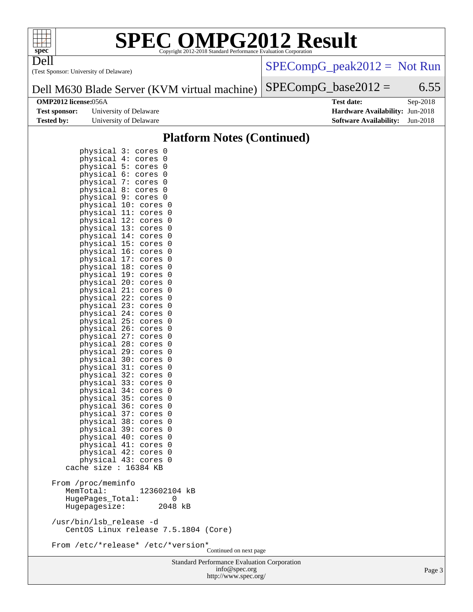

Dell

# **[SPEC OMPG2012 Result](http://www.spec.org/auto/omp2012/Docs/result-fields.html#SPECOMPG2012Result)**

(Test Sponsor: University of Delaware)

[SPECompG\\_peak2012 =](http://www.spec.org/auto/omp2012/Docs/result-fields.html#SPECompGpeak2012) Not Run

#### Dell M630 Blade Server (KVM virtual machine)  $SPECompG_base2012 = 6.55$  $SPECompG_base2012 = 6.55$

|                   | <b>Test sponsor:</b> University of Delaware | <b>Hardware Availability: Jun-2018</b> |  |
|-------------------|---------------------------------------------|----------------------------------------|--|
| <b>Tested by:</b> | University of Delaware                      | <b>Software Availability:</b> Jun-2018 |  |

**[OMP2012 license:](http://www.spec.org/auto/omp2012/Docs/result-fields.html#OMP2012license)**056A **[Test date:](http://www.spec.org/auto/omp2012/Docs/result-fields.html#Testdate)** Sep-2018 **[Hardware Availability:](http://www.spec.org/auto/omp2012/Docs/result-fields.html#HardwareAvailability)** Jun-2018

### **[Platform Notes \(Continued\)](http://www.spec.org/auto/omp2012/Docs/result-fields.html#PlatformNotes)**

| physical                 | 3:<br>0<br>cores                     |                        |
|--------------------------|--------------------------------------|------------------------|
| physical                 | 4 :<br>0<br>cores                    |                        |
| physical                 | 5:<br>0<br>cores                     |                        |
| physical                 | 6:<br>0<br>cores                     |                        |
| physical                 | 7:<br>0<br>cores                     |                        |
| physical                 | 8:<br>0<br>cores                     |                        |
| physical                 | 9:<br>0<br>cores                     |                        |
| physical                 | 10:<br>cores<br>0                    |                        |
| physical                 | 11:<br>0<br>cores                    |                        |
| physical                 | 12:<br>0<br>cores                    |                        |
| physical                 | 13:<br>cores<br>0                    |                        |
| physical                 | 14:<br>0<br>cores                    |                        |
| physical 15:             | 0<br>cores                           |                        |
| physical                 | 16:<br>cores<br>0                    |                        |
| physical 17:             | 0<br>cores                           |                        |
| physical 18:             | 0<br>cores                           |                        |
| physical                 | 19:<br>cores<br>0                    |                        |
| physical                 | 20:<br>0                             |                        |
| physical                 | cores<br>21:<br>0                    |                        |
|                          | cores<br>22:                         |                        |
| physical                 | cores<br>0<br>23:                    |                        |
| physical<br>physical     | 0<br>cores                           |                        |
|                          | 24:<br>0<br>cores                    |                        |
| physical                 | 25:<br>cores<br>0<br>26:             |                        |
| physical                 | 0<br>cores<br>27:                    |                        |
| physical                 | 0<br>cores                           |                        |
| physical                 | 28:<br>cores<br>0<br>29:<br>0        |                        |
| physical<br>physical 30: | cores<br>0                           |                        |
| physical                 | cores<br>31:                         |                        |
| physical                 | cores<br>0<br>32:<br>0               |                        |
| physical 33:             | cores<br>0                           |                        |
|                          | cores<br>34:                         |                        |
| physical                 | cores<br>0<br>35:<br>0               |                        |
| physical<br>physical 36: | cores<br>0                           |                        |
|                          | cores                                |                        |
| physical                 | 37:<br>cores<br>0<br>38:<br>0        |                        |
| physical                 | cores                                |                        |
| physical 39:             | 0<br>cores<br>40:                    |                        |
| physical                 | cores<br>0<br>41:<br>0               |                        |
| physical                 | cores<br>0                           |                        |
| physical 42:             | cores<br>43:                         |                        |
| physical<br>cache size : | 0<br>cores<br>16384 KB               |                        |
|                          |                                      |                        |
| /proc/meminfo<br>From    |                                      |                        |
| MemTotal:                | 123602104<br>kB                      |                        |
| HugePages_Total:         | 0                                    |                        |
| Hugepagesize:            | 2048 kB                              |                        |
|                          |                                      |                        |
| /usr/bin/lsb_release -d  |                                      |                        |
|                          | CentOS Linux release 7.5.1804 (Core) |                        |
|                          |                                      |                        |
|                          | From /etc/*release* /etc/*version*   |                        |
|                          |                                      | Continued on next page |

Standard Performance Evaluation Corporation [info@spec.org](mailto:info@spec.org) <http://www.spec.org/>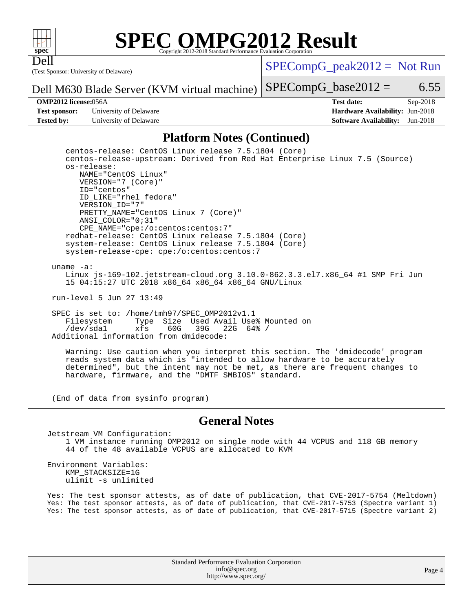

Dell

# **[SPEC OMPG2012 Result](http://www.spec.org/auto/omp2012/Docs/result-fields.html#SPECOMPG2012Result)**

(Test Sponsor: University of Delaware)

 $SPECompG_peak2012 = Not Run$  $SPECompG_peak2012 = Not Run$ 

 $SPECompG_base2012 = 6.55$  $SPECompG_base2012 = 6.55$ 

Dell M630 Blade Server (KVM virtual machine)

**[Test sponsor:](http://www.spec.org/auto/omp2012/Docs/result-fields.html#Testsponsor)** University of Delaware **[Hardware Availability:](http://www.spec.org/auto/omp2012/Docs/result-fields.html#HardwareAvailability)** Jun-2018 **[Tested by:](http://www.spec.org/auto/omp2012/Docs/result-fields.html#Testedby)** University of Delaware **[Software Availability:](http://www.spec.org/auto/omp2012/Docs/result-fields.html#SoftwareAvailability)** Jun-2018

**[OMP2012 license:](http://www.spec.org/auto/omp2012/Docs/result-fields.html#OMP2012license)**056A **[Test date:](http://www.spec.org/auto/omp2012/Docs/result-fields.html#Testdate)** Sep-2018

### **[Platform Notes \(Continued\)](http://www.spec.org/auto/omp2012/Docs/result-fields.html#PlatformNotes)**

 centos-release: CentOS Linux release 7.5.1804 (Core) centos-release-upstream: Derived from Red Hat Enterprise Linux 7.5 (Source) os-release: NAME="CentOS Linux" VERSION="7 (Core)" ID="centos" ID\_LIKE="rhel fedora" VERSION\_ID="7" PRETTY\_NAME="CentOS Linux 7 (Core)" ANSI\_COLOR="0;31" CPE\_NAME="cpe:/o:centos:centos:7" redhat-release: CentOS Linux release 7.5.1804 (Core) system-release: CentOS Linux release 7.5.1804 (Core) system-release-cpe: cpe:/o:centos:centos:7

uname -a:

 Linux js-169-102.jetstream-cloud.org 3.10.0-862.3.3.el7.x86\_64 #1 SMP Fri Jun 15 04:15:27 UTC 2018 x86\_64 x86\_64 x86\_64 GNU/Linux

run-level 5 Jun 27 13:49

 SPEC is set to: /home/tmh97/SPEC\_OMP2012v1.1 Filesystem Type Size Used Avail Use% Mounted on<br>
/dev/sdal xfs 60G 39G 22G 64% / /dev/sda1 xfs 60G 39G 22G 64% / Additional information from dmidecode:

 Warning: Use caution when you interpret this section. The 'dmidecode' program reads system data which is "intended to allow hardware to be accurately determined", but the intent may not be met, as there are frequent changes to hardware, firmware, and the "DMTF SMBIOS" standard.

(End of data from sysinfo program)

### **[General Notes](http://www.spec.org/auto/omp2012/Docs/result-fields.html#GeneralNotes)**

Jetstream VM Configuration: 1 VM instance running OMP2012 on single node with 44 VCPUS and 118 GB memory 44 of the 48 available VCPUS are allocated to KVM

Environment Variables: KMP\_STACKSIZE=1G ulimit -s unlimited

Yes: The test sponsor attests, as of date of publication, that CVE-2017-5754 (Meltdown) Yes: The test sponsor attests, as of date of publication, that CVE-2017-5753 (Spectre variant 1) Yes: The test sponsor attests, as of date of publication, that CVE-2017-5715 (Spectre variant 2)

> Standard Performance Evaluation Corporation [info@spec.org](mailto:info@spec.org) <http://www.spec.org/>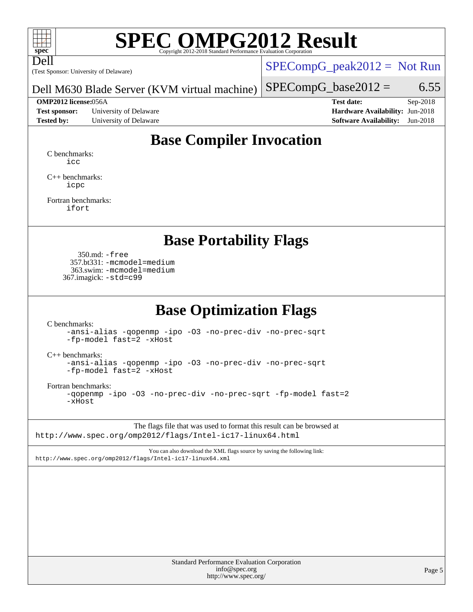

Dell

# **[SPEC OMPG2012 Result](http://www.spec.org/auto/omp2012/Docs/result-fields.html#SPECOMPG2012Result)**

(Test Sponsor: University of Delaware)

 $SPECompG_peak2012 = Not Run$  $SPECompG_peak2012 = Not Run$ 

Dell M630 Blade Server (KVM virtual machine)

**[Test sponsor:](http://www.spec.org/auto/omp2012/Docs/result-fields.html#Testsponsor)** University of Delaware **[Hardware Availability:](http://www.spec.org/auto/omp2012/Docs/result-fields.html#HardwareAvailability)** Jun-2018 **[Tested by:](http://www.spec.org/auto/omp2012/Docs/result-fields.html#Testedby)** University of Delaware **[Software Availability:](http://www.spec.org/auto/omp2012/Docs/result-fields.html#SoftwareAvailability)** Jun-2018

 $SPECompG_base2012 = 6.55$  $SPECompG_base2012 = 6.55$ 

**[OMP2012 license:](http://www.spec.org/auto/omp2012/Docs/result-fields.html#OMP2012license)**056A **[Test date:](http://www.spec.org/auto/omp2012/Docs/result-fields.html#Testdate)** Sep-2018

## **[Base Compiler Invocation](http://www.spec.org/auto/omp2012/Docs/result-fields.html#BaseCompilerInvocation)**

[C benchmarks](http://www.spec.org/auto/omp2012/Docs/result-fields.html#Cbenchmarks): [icc](http://www.spec.org/omp2012/results/res2018q4/omp2012-20181125-00157.flags.html#user_CCbase_intel_icc_a87c68a857bc5ec5362391a49d3a37a6)

[C++ benchmarks:](http://www.spec.org/auto/omp2012/Docs/result-fields.html#CXXbenchmarks) [icpc](http://www.spec.org/omp2012/results/res2018q4/omp2012-20181125-00157.flags.html#user_CXXbase_intel_icpc_2d899f8d163502b12eb4a60069f80c1c)

[Fortran benchmarks](http://www.spec.org/auto/omp2012/Docs/result-fields.html#Fortranbenchmarks): [ifort](http://www.spec.org/omp2012/results/res2018q4/omp2012-20181125-00157.flags.html#user_FCbase_intel_ifort_8a5e5e06b19a251bdeaf8fdab5d62f20)

### **[Base Portability Flags](http://www.spec.org/auto/omp2012/Docs/result-fields.html#BasePortabilityFlags)**

 350.md: [-free](http://www.spec.org/omp2012/results/res2018q4/omp2012-20181125-00157.flags.html#user_baseFPORTABILITY350_md_f-FR_e51be0673775d2012b3310fa5323f530) 357.bt331: [-mcmodel=medium](http://www.spec.org/omp2012/results/res2018q4/omp2012-20181125-00157.flags.html#user_basePORTABILITY357_bt331_f-mcmodel_3a41622424bdd074c4f0f2d2f224c7e5) 363.swim: [-mcmodel=medium](http://www.spec.org/omp2012/results/res2018q4/omp2012-20181125-00157.flags.html#user_basePORTABILITY363_swim_f-mcmodel_3a41622424bdd074c4f0f2d2f224c7e5) 367.imagick: [-std=c99](http://www.spec.org/omp2012/results/res2018q4/omp2012-20181125-00157.flags.html#user_baseCPORTABILITY367_imagick_f-std_2ec6533b6e06f1c4a6c9b78d9e9cde24)

## **[Base Optimization Flags](http://www.spec.org/auto/omp2012/Docs/result-fields.html#BaseOptimizationFlags)**

[C benchmarks](http://www.spec.org/auto/omp2012/Docs/result-fields.html#Cbenchmarks):

[-ansi-alias](http://www.spec.org/omp2012/results/res2018q4/omp2012-20181125-00157.flags.html#user_CCbase_f-ansi-alias) [-qopenmp](http://www.spec.org/omp2012/results/res2018q4/omp2012-20181125-00157.flags.html#user_CCbase_f-qopenmp) [-ipo](http://www.spec.org/omp2012/results/res2018q4/omp2012-20181125-00157.flags.html#user_CCbase_f-ipo) [-O3](http://www.spec.org/omp2012/results/res2018q4/omp2012-20181125-00157.flags.html#user_CCbase_f-O3) [-no-prec-div](http://www.spec.org/omp2012/results/res2018q4/omp2012-20181125-00157.flags.html#user_CCbase_f-no-prec-div) [-no-prec-sqrt](http://www.spec.org/omp2012/results/res2018q4/omp2012-20181125-00157.flags.html#user_CCbase_f-no-prec-sqrt) [-fp-model fast=2](http://www.spec.org/omp2012/results/res2018q4/omp2012-20181125-00157.flags.html#user_CCbase_f-fp-model_a7fb8ccb7275e23f0079632c153cfcab) [-xHost](http://www.spec.org/omp2012/results/res2018q4/omp2012-20181125-00157.flags.html#user_CCbase_f-xhost_1e10f91eff8f78573df9db5f5d873511)

[C++ benchmarks:](http://www.spec.org/auto/omp2012/Docs/result-fields.html#CXXbenchmarks)

[-ansi-alias](http://www.spec.org/omp2012/results/res2018q4/omp2012-20181125-00157.flags.html#user_CXXbase_f-ansi-alias) [-qopenmp](http://www.spec.org/omp2012/results/res2018q4/omp2012-20181125-00157.flags.html#user_CXXbase_f-qopenmp) [-ipo](http://www.spec.org/omp2012/results/res2018q4/omp2012-20181125-00157.flags.html#user_CXXbase_f-ipo) [-O3](http://www.spec.org/omp2012/results/res2018q4/omp2012-20181125-00157.flags.html#user_CXXbase_f-O3) [-no-prec-div](http://www.spec.org/omp2012/results/res2018q4/omp2012-20181125-00157.flags.html#user_CXXbase_f-no-prec-div) [-no-prec-sqrt](http://www.spec.org/omp2012/results/res2018q4/omp2012-20181125-00157.flags.html#user_CXXbase_f-no-prec-sqrt) [-fp-model fast=2](http://www.spec.org/omp2012/results/res2018q4/omp2012-20181125-00157.flags.html#user_CXXbase_f-fp-model_a7fb8ccb7275e23f0079632c153cfcab) [-xHost](http://www.spec.org/omp2012/results/res2018q4/omp2012-20181125-00157.flags.html#user_CXXbase_f-xhost_1e10f91eff8f78573df9db5f5d873511)

[Fortran benchmarks](http://www.spec.org/auto/omp2012/Docs/result-fields.html#Fortranbenchmarks):

[-qopenmp](http://www.spec.org/omp2012/results/res2018q4/omp2012-20181125-00157.flags.html#user_FCbase_f-qopenmp) [-ipo](http://www.spec.org/omp2012/results/res2018q4/omp2012-20181125-00157.flags.html#user_FCbase_f-ipo) [-O3](http://www.spec.org/omp2012/results/res2018q4/omp2012-20181125-00157.flags.html#user_FCbase_f-O3) [-no-prec-div](http://www.spec.org/omp2012/results/res2018q4/omp2012-20181125-00157.flags.html#user_FCbase_f-no-prec-div) [-no-prec-sqrt](http://www.spec.org/omp2012/results/res2018q4/omp2012-20181125-00157.flags.html#user_FCbase_f-no-prec-sqrt) [-fp-model fast=2](http://www.spec.org/omp2012/results/res2018q4/omp2012-20181125-00157.flags.html#user_FCbase_f-fp-model_a7fb8ccb7275e23f0079632c153cfcab) [-xHost](http://www.spec.org/omp2012/results/res2018q4/omp2012-20181125-00157.flags.html#user_FCbase_f-xhost_1e10f91eff8f78573df9db5f5d873511)

The flags file that was used to format this result can be browsed at <http://www.spec.org/omp2012/flags/Intel-ic17-linux64.html>

You can also download the XML flags source by saving the following link: <http://www.spec.org/omp2012/flags/Intel-ic17-linux64.xml>